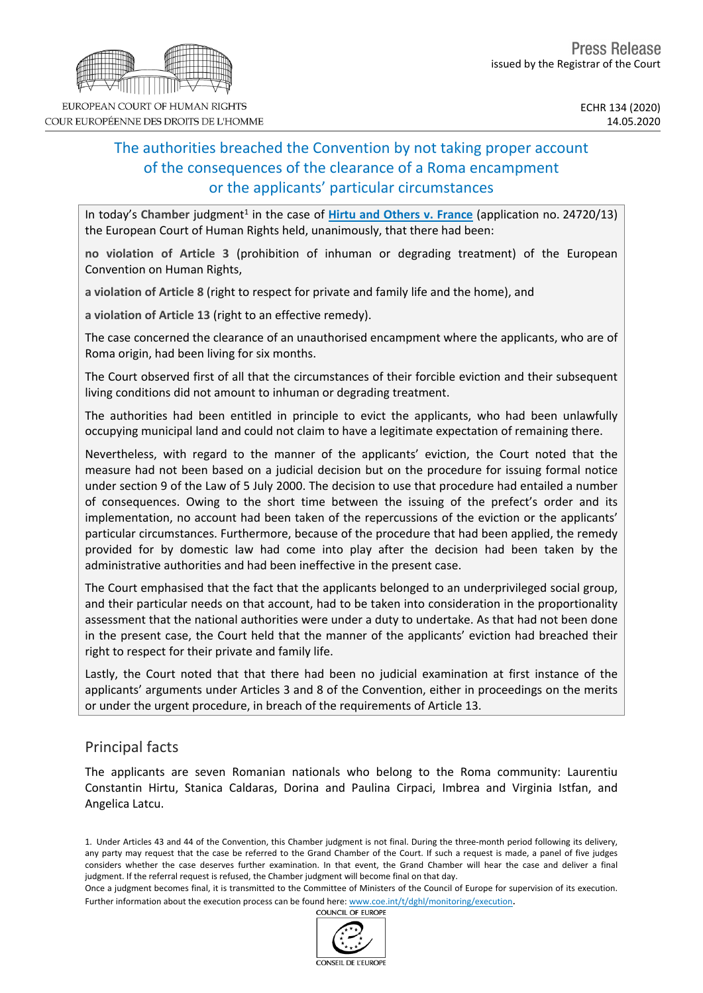# The authorities breached the Convention by not taking proper account of the consequences of the clearance of a Roma encampment or the applicants' particular circumstances

In today's Chamber judgment<sup>1</sup> in the case of *Hirtu and [Others](http://hudoc.echr.coe.int/eng?i=001-202442) v. France* (application no. 24720/13) the European Court of Human Rights held, unanimously, that there had been:

**no violation of Article 3** (prohibition of inhuman or degrading treatment) of the European Convention on Human Rights,

**a violation of Article 8** (right to respect for private and family life and the home), and

**a violation of Article 13** (right to an effective remedy).

The case concerned the clearance of an unauthorised encampment where the applicants, who are of Roma origin, had been living for six months.

The Court observed first of all that the circumstances of their forcible eviction and their subsequent living conditions did not amount to inhuman or degrading treatment.

The authorities had been entitled in principle to evict the applicants, who had been unlawfully occupying municipal land and could not claim to have a legitimate expectation of remaining there.

Nevertheless, with regard to the manner of the applicants' eviction, the Court noted that the measure had not been based on a judicial decision but on the procedure for issuing formal notice under section 9 of the Law of 5 July 2000. The decision to use that procedure had entailed a number of consequences. Owing to the short time between the issuing of the prefect's order and its implementation, no account had been taken of the repercussions of the eviction or the applicants' particular circumstances. Furthermore, because of the procedure that had been applied, the remedy provided for by domestic law had come into play after the decision had been taken by the administrative authorities and had been ineffective in the present case.

The Court emphasised that the fact that the applicants belonged to an underprivileged social group, and their particular needs on that account, had to be taken into consideration in the proportionality assessment that the national authorities were under a duty to undertake. As that had not been done in the present case, the Court held that the manner of the applicants' eviction had breached their right to respect for their private and family life.

Lastly, the Court noted that that there had been no judicial examination at first instance of the applicants' arguments under Articles 3 and 8 of the Convention, either in proceedings on the merits or under the urgent procedure, in breach of the requirements of Article 13.

## Principal facts

The applicants are seven Romanian nationals who belong to the Roma community: Laurentiu Constantin Hirtu, Stanica Caldaras, Dorina and Paulina Cirpaci, Imbrea and Virginia Istfan, and Angelica Latcu.

1. Under Articles 43 and 44 of the Convention, this Chamber judgment is not final. During the three-month period following its delivery, any party may request that the case be referred to the Grand Chamber of the Court. If such a request is made, a panel of five judges considers whether the case deserves further examination. In that event, the Grand Chamber will hear the case and deliver a final judgment. If the referral request is refused, the Chamber judgment will become final on that day.

Once a judgment becomes final, it is transmitted to the Committee of Ministers of the Council of Europe for supervision of its execution. Further information about the execution process can be found here: [www.coe.int/t/dghl/monitoring/execution](http://www.coe.int/t/dghl/monitoring/execution).<br>COUNCIL OF FUROPE



EUROPEAN COURT OF HUMAN RIGHTS COUR EUROPÉENNE DES DROITS DE L'HOMME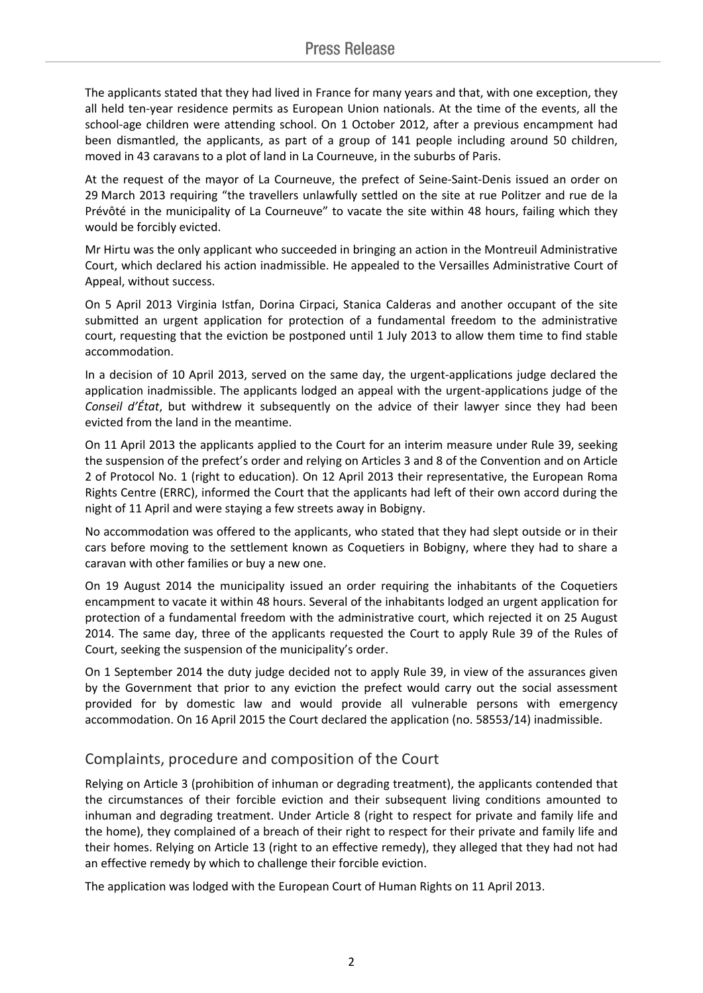The applicants stated that they had lived in France for many years and that, with one exception, they all held ten-year residence permits as European Union nationals. At the time of the events, all the school-age children were attending school. On 1 October 2012, after a previous encampment had been dismantled, the applicants, as part of a group of 141 people including around 50 children, moved in 43 caravans to a plot of land in La Courneuve, in the suburbs of Paris.

At the request of the mayor of La Courneuve, the prefect of Seine-Saint-Denis issued an order on 29 March 2013 requiring "the travellers unlawfully settled on the site at rue Politzer and rue de la Prévôté in the municipality of La Courneuve" to vacate the site within 48 hours, failing which they would be forcibly evicted.

Mr Hirtu was the only applicant who succeeded in bringing an action in the Montreuil Administrative Court, which declared his action inadmissible. He appealed to the Versailles Administrative Court of Appeal, without success.

On 5 April 2013 Virginia Istfan, Dorina Cirpaci, Stanica Calderas and another occupant of the site submitted an urgent application for protection of a fundamental freedom to the administrative court, requesting that the eviction be postponed until 1 July 2013 to allow them time to find stable accommodation.

In a decision of 10 April 2013, served on the same day, the urgent-applications judge declared the application inadmissible. The applicants lodged an appeal with the urgent-applications judge of the *Conseil d'État*, but withdrew it subsequently on the advice of their lawyer since they had been evicted from the land in the meantime.

On 11 April 2013 the applicants applied to the Court for an interim measure under Rule 39, seeking the suspension of the prefect's order and relying on Articles 3 and 8 of the Convention and on Article 2 of Protocol No. 1 (right to education). On 12 April 2013 their representative, the European Roma Rights Centre (ERRC), informed the Court that the applicants had left of their own accord during the night of 11 April and were staying a few streets away in Bobigny.

No accommodation was offered to the applicants, who stated that they had slept outside or in their cars before moving to the settlement known as Coquetiers in Bobigny, where they had to share a caravan with other families or buy a new one.

On 19 August 2014 the municipality issued an order requiring the inhabitants of the Coquetiers encampment to vacate it within 48 hours. Several of the inhabitants lodged an urgent application for protection of a fundamental freedom with the administrative court, which rejected it on 25 August 2014. The same day, three of the applicants requested the Court to apply Rule 39 of the Rules of Court, seeking the suspension of the municipality's order.

On 1 September 2014 the duty judge decided not to apply Rule 39, in view of the assurances given by the Government that prior to any eviction the prefect would carry out the social assessment provided for by domestic law and would provide all vulnerable persons with emergency accommodation. On 16 April 2015 the Court declared the application (no. 58553/14) inadmissible.

## Complaints, procedure and composition of the Court

Relying on Article 3 (prohibition of inhuman or degrading treatment), the applicants contended that the circumstances of their forcible eviction and their subsequent living conditions amounted to inhuman and degrading treatment. Under Article 8 (right to respect for private and family life and the home), they complained of a breach of their right to respect for their private and family life and their homes. Relying on Article 13 (right to an effective remedy), they alleged that they had not had an effective remedy by which to challenge their forcible eviction.

The application was lodged with the European Court of Human Rights on 11 April 2013.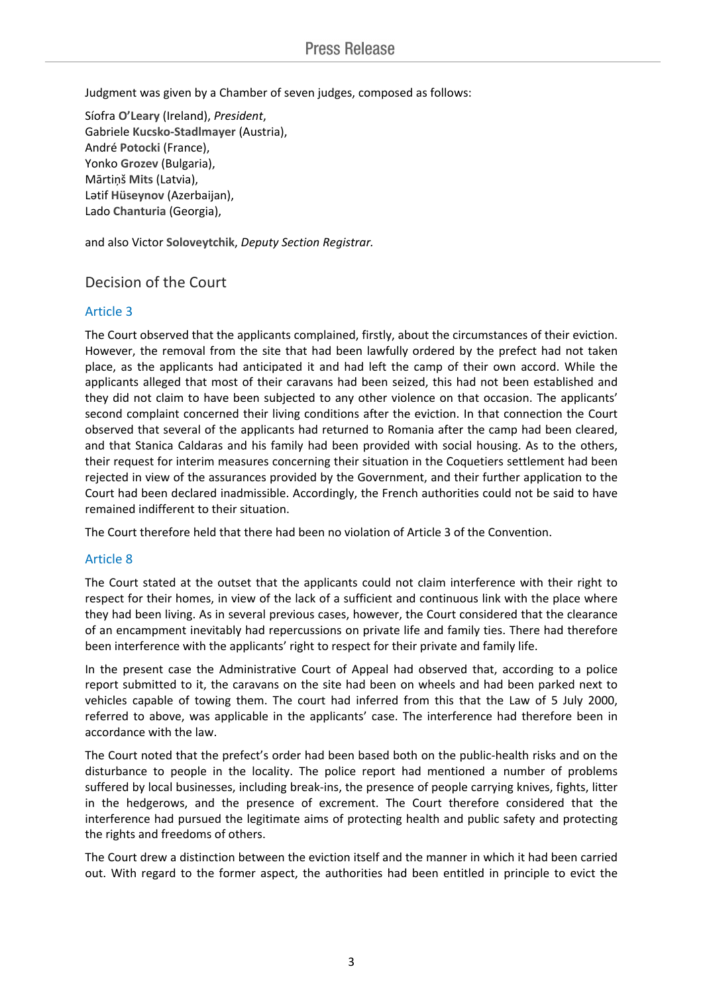Judgment was given by a Chamber of seven judges, composed as follows:

Síofra **O'Leary** (Ireland), *President*, Gabriele **Kucsko-Stadlmayer** (Austria), André **Potocki** (France), Yonko **Grozev** (Bulgaria), Mārtiņš **Mits** (Latvia), Lәtif **Hüseynov** (Azerbaijan), Lado **Chanturia** (Georgia),

and also Victor **Soloveytchik**, *Deputy Section Registrar.*

### Decision of the Court

#### Article 3

The Court observed that the applicants complained, firstly, about the circumstances of their eviction. However, the removal from the site that had been lawfully ordered by the prefect had not taken place, as the applicants had anticipated it and had left the camp of their own accord. While the applicants alleged that most of their caravans had been seized, this had not been established and they did not claim to have been subjected to any other violence on that occasion. The applicants' second complaint concerned their living conditions after the eviction. In that connection the Court observed that several of the applicants had returned to Romania after the camp had been cleared, and that Stanica Caldaras and his family had been provided with social housing. As to the others, their request for interim measures concerning their situation in the Coquetiers settlement had been rejected in view of the assurances provided by the Government, and their further application to the Court had been declared inadmissible. Accordingly, the French authorities could not be said to have remained indifferent to their situation.

The Court therefore held that there had been no violation of Article 3 of the Convention.

#### Article 8

The Court stated at the outset that the applicants could not claim interference with their right to respect for their homes, in view of the lack of a sufficient and continuous link with the place where they had been living. As in several previous cases, however, the Court considered that the clearance of an encampment inevitably had repercussions on private life and family ties. There had therefore been interference with the applicants' right to respect for their private and family life.

In the present case the Administrative Court of Appeal had observed that, according to a police report submitted to it, the caravans on the site had been on wheels and had been parked next to vehicles capable of towing them. The court had inferred from this that the Law of 5 July 2000, referred to above, was applicable in the applicants' case. The interference had therefore been in accordance with the law.

The Court noted that the prefect's order had been based both on the public-health risks and on the disturbance to people in the locality. The police report had mentioned a number of problems suffered by local businesses, including break-ins, the presence of people carrying knives, fights, litter in the hedgerows, and the presence of excrement. The Court therefore considered that the interference had pursued the legitimate aims of protecting health and public safety and protecting the rights and freedoms of others.

The Court drew a distinction between the eviction itself and the manner in which it had been carried out. With regard to the former aspect, the authorities had been entitled in principle to evict the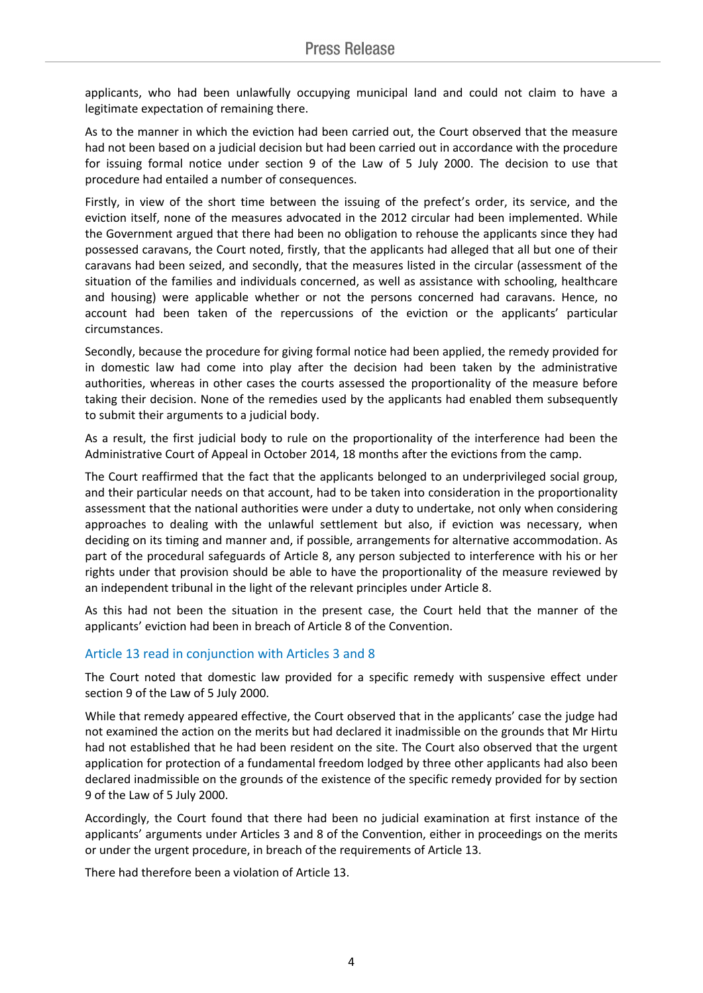applicants, who had been unlawfully occupying municipal land and could not claim to have a legitimate expectation of remaining there.

As to the manner in which the eviction had been carried out, the Court observed that the measure had not been based on a judicial decision but had been carried out in accordance with the procedure for issuing formal notice under section 9 of the Law of 5 July 2000. The decision to use that procedure had entailed a number of consequences.

Firstly, in view of the short time between the issuing of the prefect's order, its service, and the eviction itself, none of the measures advocated in the 2012 circular had been implemented. While the Government argued that there had been no obligation to rehouse the applicants since they had possessed caravans, the Court noted, firstly, that the applicants had alleged that all but one of their caravans had been seized, and secondly, that the measures listed in the circular (assessment of the situation of the families and individuals concerned, as well as assistance with schooling, healthcare and housing) were applicable whether or not the persons concerned had caravans. Hence, no account had been taken of the repercussions of the eviction or the applicants' particular circumstances.

Secondly, because the procedure for giving formal notice had been applied, the remedy provided for in domestic law had come into play after the decision had been taken by the administrative authorities, whereas in other cases the courts assessed the proportionality of the measure before taking their decision. None of the remedies used by the applicants had enabled them subsequently to submit their arguments to a judicial body.

As a result, the first judicial body to rule on the proportionality of the interference had been the Administrative Court of Appeal in October 2014, 18 months after the evictions from the camp.

The Court reaffirmed that the fact that the applicants belonged to an underprivileged social group, and their particular needs on that account, had to be taken into consideration in the proportionality assessment that the national authorities were under a duty to undertake, not only when considering approaches to dealing with the unlawful settlement but also, if eviction was necessary, when deciding on its timing and manner and, if possible, arrangements for alternative accommodation. As part of the procedural safeguards of Article 8, any person subjected to interference with his or her rights under that provision should be able to have the proportionality of the measure reviewed by an independent tribunal in the light of the relevant principles under Article 8.

As this had not been the situation in the present case, the Court held that the manner of the applicants' eviction had been in breach of Article 8 of the Convention.

#### Article 13 read in conjunction with Articles 3 and 8

The Court noted that domestic law provided for a specific remedy with suspensive effect under section 9 of the Law of 5 July 2000.

While that remedy appeared effective, the Court observed that in the applicants' case the judge had not examined the action on the merits but had declared it inadmissible on the grounds that Mr Hirtu had not established that he had been resident on the site. The Court also observed that the urgent application for protection of a fundamental freedom lodged by three other applicants had also been declared inadmissible on the grounds of the existence of the specific remedy provided for by section 9 of the Law of 5 July 2000.

Accordingly, the Court found that there had been no judicial examination at first instance of the applicants' arguments under Articles 3 and 8 of the Convention, either in proceedings on the merits or under the urgent procedure, in breach of the requirements of Article 13.

There had therefore been a violation of Article 13.